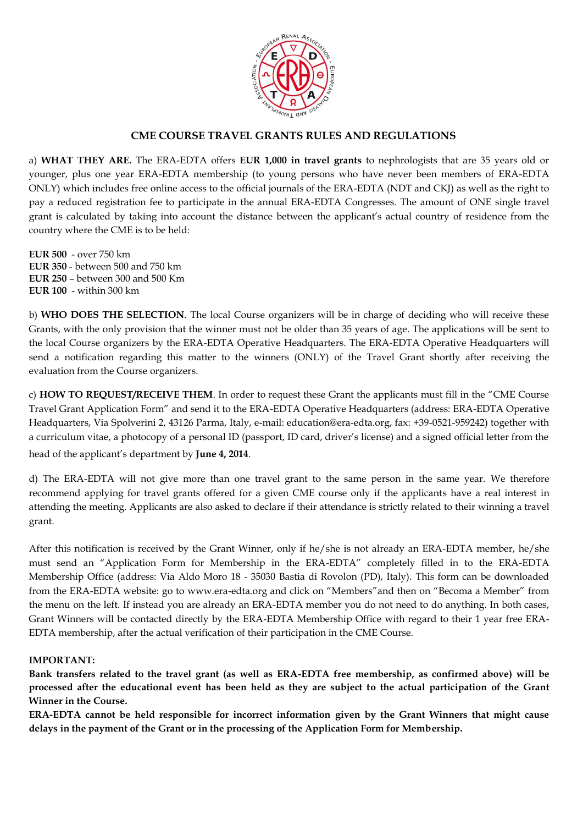

# **CME COURSE TRAVEL GRANTS RULES AND REGULATIONS**

a) **WHAT THEY ARE.** The ERA-EDTA offers **EUR 1,000 in travel grants** to nephrologists that are 35 years old or younger, plus one year ERA-EDTA membership (to young persons who have never been members of ERA-EDTA ONLY) which includes free online access to the official journals of the ERA-EDTA (NDT and CKJ) as well as the right to pay a reduced registration fee to participate in the annual ERA-EDTA Congresses. The amount of ONE single travel grant is calculated by taking into account the distance between the applicant's actual country of residence from the country where the CME is to be held:

**EUR 500** - over 750 km **EUR 350** - between 500 and 750 km **EUR 250** – between 300 and 500 Km **EUR 100** - within 300 km

b) **WHO DOES THE SELECTION**. The local Course organizers will be in charge of deciding who will receive these Grants, with the only provision that the winner must not be older than 35 years of age. The applications will be sent to the local Course organizers by the ERA-EDTA Operative Headquarters. The ERA-EDTA Operative Headquarters will send a notification regarding this matter to the winners (ONLY) of the Travel Grant shortly after receiving the evaluation from the Course organizers.

c) **HOW TO REQUEST/RECEIVE THEM**. In order to request these Grant the applicants must fill in the "CME Course Travel Grant Application Form" and send it to the ERA-EDTA Operative Headquarters (address: ERA-EDTA Operative Headquarters, Via Spolverini 2, 43126 Parma, Italy, e-mail: education@era-edta.org, fax: +39-0521-959242) together with a curriculum vitae, a photocopy of a personal ID (passport, ID card, driver's license) and a signed official letter from the head of the applicant's department by **June 4, 2014**.

d) The ERA-EDTA will not give more than one travel grant to the same person in the same year. We therefore recommend applying for travel grants offered for a given CME course only if the applicants have a real interest in attending the meeting. Applicants are also asked to declare if their attendance is strictly related to their winning a travel grant.

After this notification is received by the Grant Winner, only if he/she is not already an ERA-EDTA member, he/she must send an "Application Form for Membership in the ERA-EDTA" completely filled in to the ERA-EDTA Membership Office (address: Via Aldo Moro 18 - 35030 Bastia di Rovolon (PD), Italy). This form can be downloaded from the ERA-EDTA website: go to www.era-edta.org and click on "Members"and then on "Becoma a Member" from the menu on the left. If instead you are already an ERA-EDTA member you do not need to do anything. In both cases, Grant Winners will be contacted directly by the ERA-EDTA Membership Office with regard to their 1 year free ERA-EDTA membership, after the actual verification of their participation in the CME Course.

#### **IMPORTANT:**

**Bank transfers related to the travel grant (as well as ERA-EDTA free membership, as confirmed above) will be processed after the educational event has been held as they are subject to the actual participation of the Grant Winner in the Course.** 

**ERA-EDTA cannot be held responsible for incorrect information given by the Grant Winners that might cause delays in the payment of the Grant or in the processing of the Application Form for Membership.**